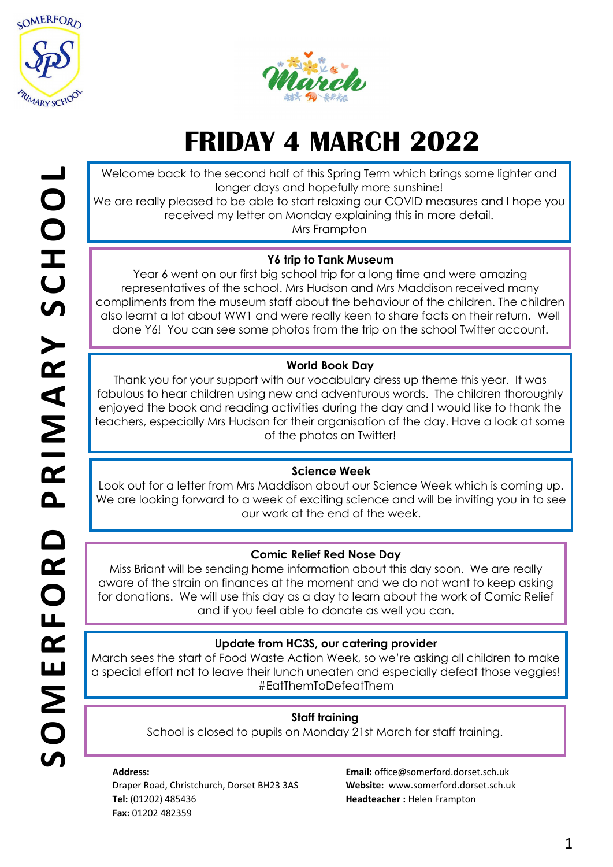



# **FRIDAY 4 MARCH 2022**

Welcome back to the second half of this Spring Term which brings some lighter and longer days and hopefully more sunshine!

We are really pleased to be able to start relaxing our COVID measures and I hope you received my letter on Monday explaining this in more detail.

Mrs Frampton

# **Y6 trip to Tank Museum**

Year 6 went on our first big school trip for a long time and were amazing representatives of the school. Mrs Hudson and Mrs Maddison received many compliments from the museum staff about the behaviour of the children. The children also learnt a lot about WW1 and were really keen to share facts on their return. Well done Y6! You can see some photos from the trip on the school Twitter account.

# **World Book Day**

Thank you for your support with our vocabulary dress up theme this year. It was fabulous to hear children using new and adventurous words. The children thoroughly enjoyed the book and reading activities during the day and I would like to thank the teachers, especially Mrs Hudson for their organisation of the day. Have a look at some of the photos on Twitter!

## **Science Week**

Look out for a letter from Mrs Maddison about our Science Week which is coming up. We are looking forward to a week of exciting science and will be inviting you in to see our work at the end of the week.

## **Comic Relief Red Nose Day**

Miss Briant will be sending home information about this day soon. We are really aware of the strain on finances at the moment and we do not want to keep asking for donations. We will use this day as a day to learn about the work of Comic Relief and if you feel able to donate as well you can.

## **Update from HC3S, our catering provider**

March sees the start of Food Waste Action Week, so we're asking all children to make a special effort not to leave their lunch uneaten and especially defeat those veggies! #EatThemToDefeatThem

## **Staff training**

School is closed to pupils on Monday 21st March for staff training.

#### **Address:**

Draper Road, Christchurch, Dorset BH23 3AS **Tel:** (01202) 485436 **Fax:** 01202 482359

**Email:** office@somerford.dorset.sch.uk **Website:** www.somerford.dorset.sch.uk **Headteacher :** Helen Frampton